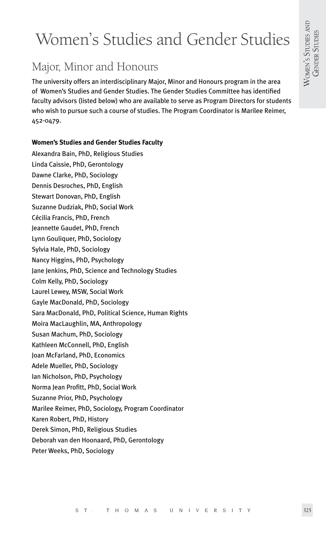# Women's Studies and Gender Studies

# Major, Minor and Honours

The university offers an interdisciplinary Major, Minor and Honours program in the area of Women's Studies and Gender Studies. The Gender Studies Committee has identified faculty advisors (listed below) who are available to serve as Program Directors for students who wish to pursue such a course of studies. The Program Coordinator is Marilee Reimer, 452-0479.

# **Women's Studies and Gender Studies Faculty**

Alexandra Bain, PhD, Religious Studies Linda Caissie, PhD, Gerontology Dawne Clarke, PhD, Sociology Dennis Desroches, PhD, English Stewart Donovan, PhD, English Suzanne Dudziak, PhD, Social Work Cécilia Francis, PhD, French Jeannette Gaudet, PhD, French Lynn Gouliquer, PhD, Sociology Sylvia Hale, PhD, Sociology Nancy Higgins, PhD, Psychology Jane Jenkins, PhD, Science and Technology Studies Colm Kelly, PhD, Sociology Laurel Lewey, MSW, Social Work Gayle MacDonald, PhD, Sociology Sara MacDonald, PhD, Political Science, Human Rights Moira MacLaughlin, MA, Anthropology Susan Machum, PhD, Sociology Kathleen McConnell, PhD, English Joan McFarland, PhD, Economics Adele Mueller, PhD, Sociology Ian Nicholson, PhD, Psychology Norma Jean Profitt, PhD, Social Work Suzanne Prior, PhD, Psychology Marilee Reimer, PhD, Sociology, Program Coordinator Karen Robert, PhD, History Derek Simon, PhD, Religious Studies Deborah van den Hoonaard, PhD, Gerontology

Peter Weeks, PhD, Sociology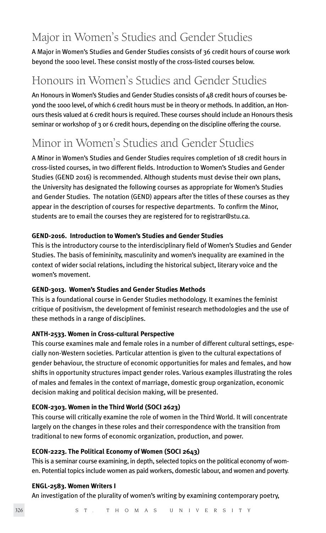# Major in Women's Studies and Gender Studies

A Major in Women's Studies and Gender Studies consists of 36 credit hours of course work beyond the 1000 level. These consist mostly of the cross-listed courses below.

# Honours in Women's Studies and Gender Studies

An Honours in Women's Studies and Gender Studies consists of 48 credit hours of courses beyond the 1000 level, of which 6 credit hours must be in theory or methods. In addition, an Honours thesis valued at 6 credit hours is required. These courses should include an Honours thesis seminar or workshop of 3 or 6 credit hours, depending on the discipline offering the course.

# Minor in Women's Studies and Gender Studies

A Minor in Women's Studies and Gender Studies requires completion of 18 credit hours in cross-listed courses, in two different fields. Introduction to Women's Studies and Gender Studies (GEND 2016) is recommended. Although students must devise their own plans, the University has designated the following courses as appropriate for Women's Studies and Gender Studies. The notation (GEND) appears after the titles of these courses as they appear in the description of courses for respective departments. To confirm the Minor, students are to email the courses they are registered for to registrar@stu.ca.

### **GEND-2016. Introduction to Women's Studies and Gender Studies**

This is the introductory course to the interdisciplinary field of Women's Studies and Gender Studies. The basis of femininity, masculinity and women's inequality are examined in the context of wider social relations, including the historical subject, literary voice and the women's movement.

# **GEND-3013. Women's Studies and Gender Studies Methods**

This is a foundational course in Gender Studies methodology. It examines the feminist critique of positivism, the development of feminist research methodologies and the use of these methods in a range of disciplines.

# **ANTH-2533. Women in Cross-cultural Perspective**

This course examines male and female roles in a number of different cultural settings, especially non-Western societies. Particular attention is given to the cultural expectations of gender behaviour, the structure of economic opportunities for males and females, and how shifts in opportunity structures impact gender roles. Various examples illustrating the roles of males and females in the context of marriage, domestic group organization, economic decision making and political decision making, will be presented.

# **ECON-2303. Women in the Third World (SOCI 2623)**

This course will critically examine the role of women in the Third World. It will concentrate largely on the changes in these roles and their correspondence with the transition from traditional to new forms of economic organization, production, and power.

#### **ECON-2223. The Political Economy of Women (SOCI 2643)**

This is a seminar course examining, in depth, selected topics on the political economy of women. Potential topics include women as paid workers, domestic labour, and women and poverty.

#### **ENGL-2583. Women Writers I**

An investigation of the plurality of women's writing by examining contemporary poetry,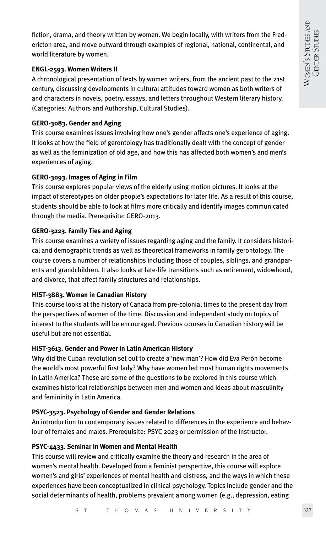fiction, drama, and theory written by women. We begin locally, with writers from the Fredericton area, and move outward through examples of regional, national, continental, and world literature by women.

#### **ENGL-2593. Women Writers II**

A chronological presentation of texts by women writers, from the ancient past to the 21st century, discussing developments in cultural attitudes toward women as both writers of and characters in novels, poetry, essays, and letters throughout Western literary history. (Categories: Authors and Authorship, Cultural Studies).

#### **GERO-3083. Gender and Aging**

This course examines issues involving how one's gender affects one's experience of aging. It looks at how the field of gerontology has traditionally dealt with the concept of gender as well as the feminization of old age, and how this has affected both women's and men's experiences of aging.

#### **GERO-3093. Images of Aging in Film**

This course explores popular views of the elderly using motion pictures. It looks at the impact of stereotypes on older people's expectations for later life. As a result of this course, students should be able to look at films more critically and identify images communicated through the media. Prerequisite: GERO-2013.

#### **GERO-3223. Family Ties and Aging**

This course examines a variety of issues regarding aging and the family. It considers historical and demographic trends as well as theoretical frameworks in family gerontology. The course covers a number of relationships including those of couples, siblings, and grandparents and grandchildren. It also looks at late-life transitions such as retirement, widowhood, and divorce, that affect family structures and relationships.

#### **HIST-3883. Women in Canadian History**

This course looks at the history of Canada from pre-colonial times to the present day from the perspectives of women of the time. Discussion and independent study on topics of interest to the students will be encouraged. Previous courses in Canadian history will be useful but are not essential.

#### **HIST-3613. Gender and Power in Latin American History**

Why did the Cuban revolution set out to create a 'new man'? How did Eva Perón become the world's most powerful first lady? Why have women led most human rights movements in Latin America? These are some of the questions to be explored in this course which examines historical relationships between men and women and ideas about masculinity and femininity in Latin America.

#### **PSYC-3523. Psychology of Gender and Gender Relations**

An introduction to contemporary issues related to differences in the experience and behaviour of females and males. Prerequisite: PSYC 2023 or permission of the instructor.

#### **PSYC-4433. Seminar in Women and Mental Health**

This course will review and critically examine the theory and research in the area of women's mental health. Developed from a feminist perspective, this course will explore women's and girls' experiences of mental health and distress, and the ways in which these experiences have been conceptualized in clinical psychology. Topics include gender and the social determinants of health, problems prevalent among women (e.g., depression, eating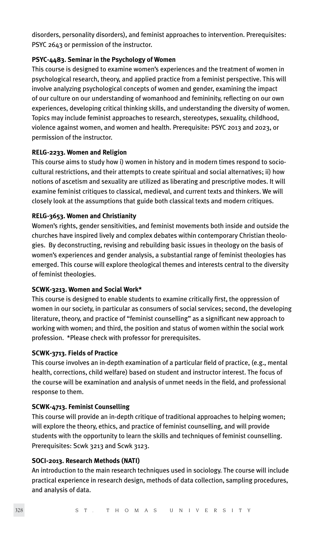disorders, personality disorders), and feminist approaches to intervention. Prerequisites: PSYC 2643 or permission of the instructor.

#### **PSYC-4483. Seminar in the Psychology of Women**

This course is designed to examine women's experiences and the treatment of women in psychological research, theory, and applied practice from a feminist perspective. This will involve analyzing psychological concepts of women and gender, examining the impact of our culture on our understanding of womanhood and femininity, reflecting on our own experiences, developing critical thinking skills, and understanding the diversity of women. Topics may include feminist approaches to research, stereotypes, sexuality, childhood, violence against women, and women and health. Prerequisite: PSYC 2013 and 2023, or permission of the instructor.

#### **RELG-2233. Women and Religion**

This course aims to study how i) women in history and in modern times respond to sociocultural restrictions, and their attempts to create spiritual and social alternatives; ii) how notions of ascetism and sexuality are utilized as liberating and prescriptive modes. It will examine feminist critiques to classical, medieval, and current texts and thinkers. We will closely look at the assumptions that guide both classical texts and modern critiques.

#### **RELG-3653. Women and Christianity**

Women's rights, gender sensitivities, and feminist movements both inside and outside the churches have inspired lively and complex debates within contemporary Christian theologies. By deconstructing, revising and rebuilding basic issues in theology on the basis of women's experiences and gender analysis, a substantial range of feminist theologies has emerged. This course will explore theological themes and interests central to the diversity of feminist theologies.

#### **SCWK-3213. Women and Social Work\***

This course is designed to enable students to examine critically first, the oppression of women in our society, in particular as consumers of social services; second, the developing literature, theory, and practice of "feminist counselling" as a significant new approach to working with women; and third, the position and status of women within the social work profession. \*Please check with professor for prerequisites.

#### **SCWK-3713. Fields of Practice**

This course involves an in-depth examination of a particular field of practice, (e.g., mental health, corrections, child welfare) based on student and instructor interest. The focus of the course will be examination and analysis of unmet needs in the field, and professional response to them.

#### **SCWK-4713. Feminist Counselling**

This course will provide an in-depth critique of traditional approaches to helping women; will explore the theory, ethics, and practice of feminist counselling, and will provide students with the opportunity to learn the skills and techniques of feminist counselling. Prerequisites: Scwk 3213 and Scwk 3123.

#### **SOCI-2013. Research Methods (NATI)**

An introduction to the main research techniques used in sociology. The course will include practical experience in research design, methods of data collection, sampling procedures, and analysis of data.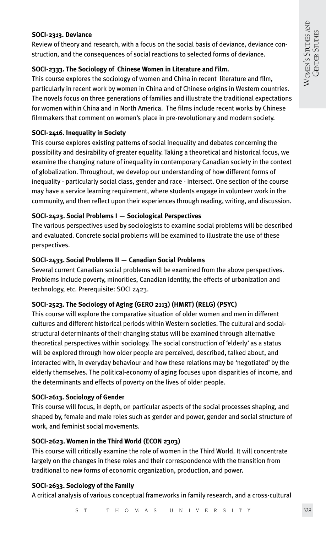#### **SOCI-2313. Deviance**

Review of theory and research, with a focus on the social basis of deviance, deviance construction, and the consequences of social reactions to selected forms of deviance.

#### **SOCI-2333. The Sociology of Chinese Women in Literature and Film.**

This course explores the sociology of women and China in recent literature and film, particularly in recent work by women in China and of Chinese origins in Western countries. The novels focus on three generations of families and illustrate the traditional expectations for women within China and in North America. The films include recent works by Chinese filmmakers that comment on women's place in pre-revolutionary and modern society.

#### **SOCI-2416. Inequality in Society**

This course explores existing patterns of social inequality and debates concerning the possibility and desirability of greater equality. Taking a theoretical and historical focus, we examine the changing nature of inequality in contemporary Canadian society in the context of globalization. Throughout, we develop our understanding of how different forms of inequality - particularly social class, gender and race - intersect. One section of the course may have a service learning requirement, where students engage in volunteer work in the community, and then reflect upon their experiences through reading, writing, and discussion.

#### **SOCI-2423. Social Problems I — Sociological Perspectives**

The various perspectives used by sociologists to examine social problems will be described and evaluated. Concrete social problems will be examined to illustrate the use of these perspectives.

#### **SOCI-2433. Social Problems II — Canadian Social Problems**

Several current Canadian social problems will be examined from the above perspectives. Problems include poverty, minorities, Canadian identity, the effects of urbanization and technology, etc. Prerequisite: SOCI 2423.

#### **SOCI-2523. The Sociology of Aging (GERO 2113) (HMRT) (RELG) (PSYC)**

This course will explore the comparative situation of older women and men in different cultures and different historical periods within Western societies. The cultural and socialstructural determinants of their changing status will be examined through alternative theoretical perspectives within sociology. The social construction of 'elderly' as a status will be explored through how older people are perceived, described, talked about, and interacted with, in everyday behaviour and how these relations may be 'negotiated' by the elderly themselves. The political-economy of aging focuses upon disparities of income, and the determinants and effects of poverty on the lives of older people.

#### **SOCI-2613. Sociology of Gender**

This course will focus, in depth, on particular aspects of the social processes shaping, and shaped by, female and male roles such as gender and power, gender and social structure of work, and feminist social movements.

#### **SOCI-2623. Women in the Third World (ECON 2303)**

This course will critically examine the role of women in the Third World. It will concentrate largely on the changes in these roles and their correspondence with the transition from traditional to new forms of economic organization, production, and power.

#### **SOCI-2633. Sociology of the Family**

A critical analysis of various conceptual frameworks in family research, and a cross-cultural